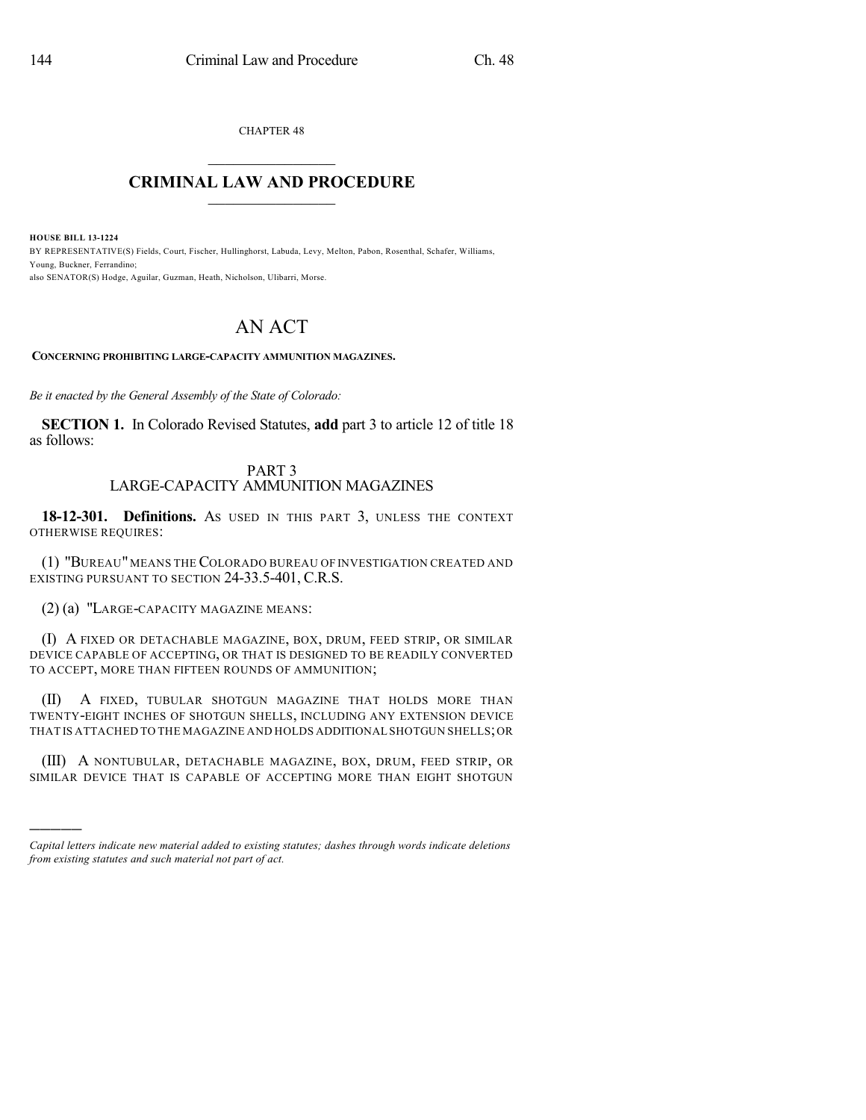CHAPTER 48  $\overline{\phantom{a}}$  . The set of the set of the set of the set of the set of the set of the set of the set of the set of the set of the set of the set of the set of the set of the set of the set of the set of the set of the set o

## **CRIMINAL LAW AND PROCEDURE**  $\frac{1}{2}$  ,  $\frac{1}{2}$  ,  $\frac{1}{2}$  ,  $\frac{1}{2}$  ,  $\frac{1}{2}$  ,  $\frac{1}{2}$  ,  $\frac{1}{2}$

**HOUSE BILL 13-1224**

)))))

BY REPRESENTATIVE(S) Fields, Court, Fischer, Hullinghorst, Labuda, Levy, Melton, Pabon, Rosenthal, Schafer, Williams, Young, Buckner, Ferrandino; also SENATOR(S) Hodge, Aguilar, Guzman, Heath, Nicholson, Ulibarri, Morse.

## AN ACT

**CONCERNING PROHIBITING LARGE-CAPACITY AMMUNITION MAGAZINES.**

*Be it enacted by the General Assembly of the State of Colorado:*

**SECTION 1.** In Colorado Revised Statutes, **add** part 3 to article 12 of title 18 as follows:

## PART 3 LARGE-CAPACITY AMMUNITION MAGAZINES

**18-12-301. Definitions.** AS USED IN THIS PART 3, UNLESS THE CONTEXT OTHERWISE REQUIRES:

(1) "BUREAU" MEANS THE COLORADO BUREAU OF INVESTIGATION CREATED AND EXISTING PURSUANT TO SECTION 24-33.5-401, C.R.S.

(2) (a) "LARGE-CAPACITY MAGAZINE MEANS:

(I) A FIXED OR DETACHABLE MAGAZINE, BOX, DRUM, FEED STRIP, OR SIMILAR DEVICE CAPABLE OF ACCEPTING, OR THAT IS DESIGNED TO BE READILY CONVERTED TO ACCEPT, MORE THAN FIFTEEN ROUNDS OF AMMUNITION;

(II) A FIXED, TUBULAR SHOTGUN MAGAZINE THAT HOLDS MORE THAN TWENTY-EIGHT INCHES OF SHOTGUN SHELLS, INCLUDING ANY EXTENSION DEVICE THAT IS ATTACHED TO THE MAGAZINE AND HOLDS ADDITIONAL SHOTGUN SHELLS;OR

(III) A NONTUBULAR, DETACHABLE MAGAZINE, BOX, DRUM, FEED STRIP, OR SIMILAR DEVICE THAT IS CAPABLE OF ACCEPTING MORE THAN EIGHT SHOTGUN

*Capital letters indicate new material added to existing statutes; dashes through words indicate deletions from existing statutes and such material not part of act.*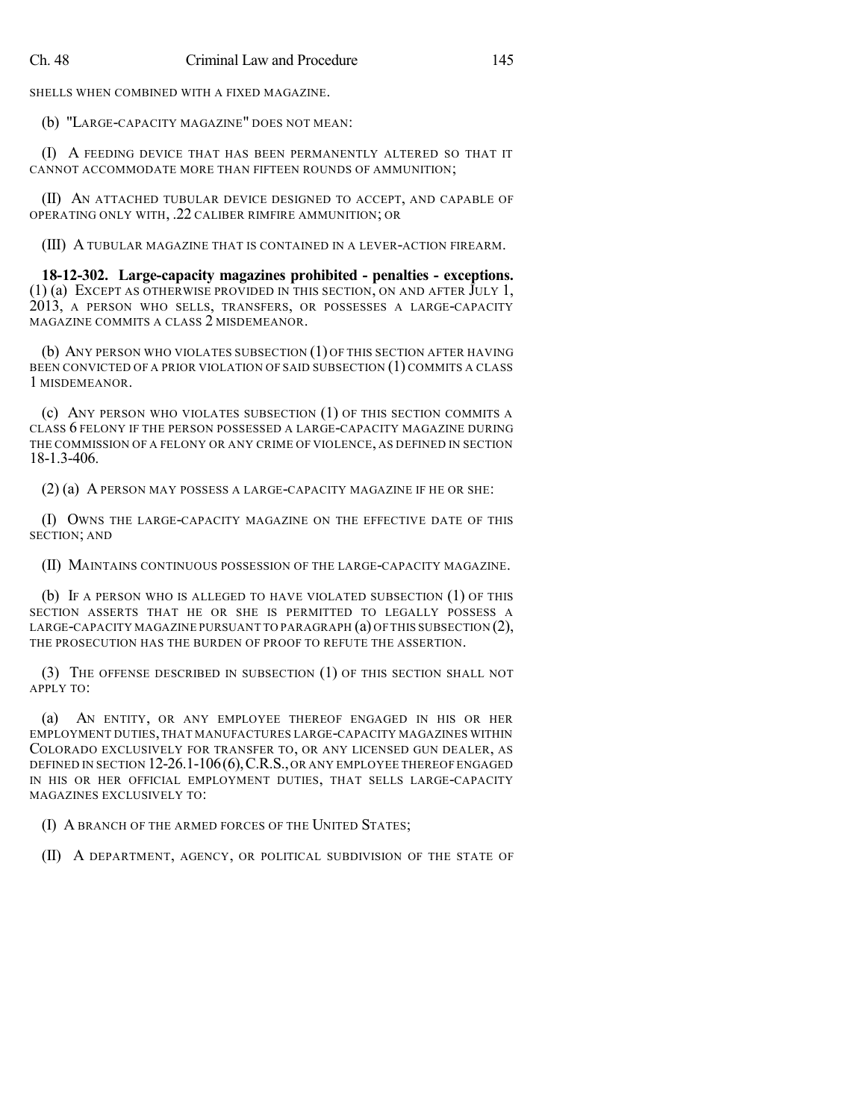SHELLS WHEN COMBINED WITH A FIXED MAGAZINE.

(b) "LARGE-CAPACITY MAGAZINE" DOES NOT MEAN:

(I) A FEEDING DEVICE THAT HAS BEEN PERMANENTLY ALTERED SO THAT IT CANNOT ACCOMMODATE MORE THAN FIFTEEN ROUNDS OF AMMUNITION;

(II) AN ATTACHED TUBULAR DEVICE DESIGNED TO ACCEPT, AND CAPABLE OF OPERATING ONLY WITH, .22 CALIBER RIMFIRE AMMUNITION; OR

(III) A TUBULAR MAGAZINE THAT IS CONTAINED IN A LEVER-ACTION FIREARM.

**18-12-302. Large-capacity magazines prohibited - penalties - exceptions.**  $(1)$  (a) EXCEPT AS OTHERWISE PROVIDED IN THIS SECTION, ON AND AFTER JULY 1, 2013, A PERSON WHO SELLS, TRANSFERS, OR POSSESSES A LARGE-CAPACITY MAGAZINE COMMITS A CLASS 2 MISDEMEANOR.

(b) ANY PERSON WHO VIOLATES SUBSECTION (1) OF THIS SECTION AFTER HAVING BEEN CONVICTED OF A PRIOR VIOLATION OF SAID SUBSECTION (1) COMMITS A CLASS 1 MISDEMEANOR.

(c) ANY PERSON WHO VIOLATES SUBSECTION (1) OF THIS SECTION COMMITS A CLASS 6 FELONY IF THE PERSON POSSESSED A LARGE-CAPACITY MAGAZINE DURING THE COMMISSION OF A FELONY OR ANY CRIME OF VIOLENCE, AS DEFINED IN SECTION 18-1.3-406.

(2) (a) A PERSON MAY POSSESS A LARGE-CAPACITY MAGAZINE IF HE OR SHE:

(I) OWNS THE LARGE-CAPACITY MAGAZINE ON THE EFFECTIVE DATE OF THIS SECTION; AND

(II) MAINTAINS CONTINUOUS POSSESSION OF THE LARGE-CAPACITY MAGAZINE.

(b) IF A PERSON WHO IS ALLEGED TO HAVE VIOLATED SUBSECTION (1) OF THIS SECTION ASSERTS THAT HE OR SHE IS PERMITTED TO LEGALLY POSSESS A LARGE-CAPACITY MAGAZINE PURSUANT TO PARAGRAPH (a) OF THIS SUBSECTION (2), THE PROSECUTION HAS THE BURDEN OF PROOF TO REFUTE THE ASSERTION.

(3) THE OFFENSE DESCRIBED IN SUBSECTION (1) OF THIS SECTION SHALL NOT APPLY TO:

(a) AN ENTITY, OR ANY EMPLOYEE THEREOF ENGAGED IN HIS OR HER EMPLOYMENT DUTIES,THAT MANUFACTURES LARGE-CAPACITY MAGAZINES WITHIN COLORADO EXCLUSIVELY FOR TRANSFER TO, OR ANY LICENSED GUN DEALER, AS DEFINED IN SECTION 12-26.1-106(6), C.R.S., OR ANY EMPLOYEE THEREOF ENGAGED IN HIS OR HER OFFICIAL EMPLOYMENT DUTIES, THAT SELLS LARGE-CAPACITY MAGAZINES EXCLUSIVELY TO:

(I) A BRANCH OF THE ARMED FORCES OF THE UNITED STATES;

(II) A DEPARTMENT, AGENCY, OR POLITICAL SUBDIVISION OF THE STATE OF